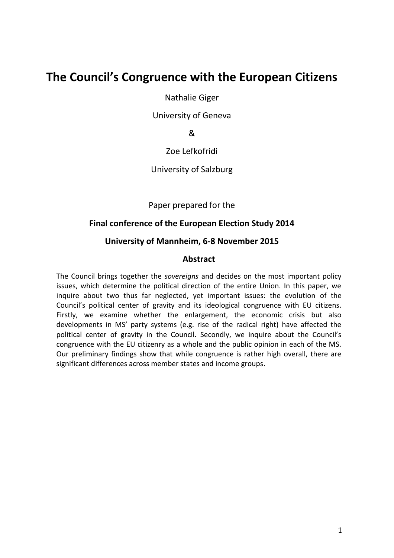# **The Council's Congruence with the European Citizens**

Nathalie Giger

University of Geneva

&

Zoe Lefkofridi

University of Salzburg

Paper prepared for the

#### **Final conference of the European Election Study 2014**

#### **University of Mannheim, 6-8 November 2015**

#### **Abstract**

The Council brings together the *sovereigns* and decides on the most important policy issues, which determine the political direction of the entire Union. In this paper, we inquire about two thus far neglected, yet important issues: the evolution of the Council's political center of gravity and its ideological congruence with EU citizens. Firstly, we examine whether the enlargement, the economic crisis but also developments in MS' party systems (e.g. rise of the radical right) have affected the political center of gravity in the Council. Secondly, we inquire about the Council's congruence with the EU citizenry as a whole and the public opinion in each of the MS. Our preliminary findings show that while congruence is rather high overall, there are significant differences across member states and income groups.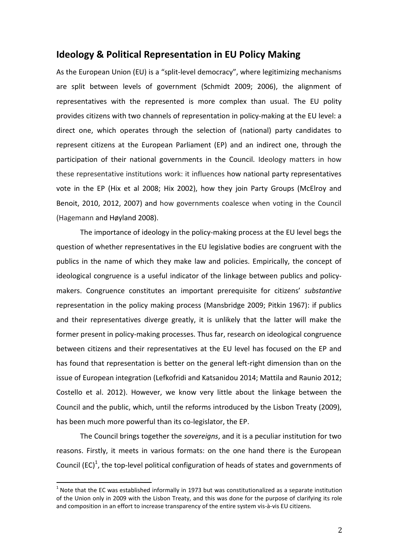## **Ideology & Political Representation in EU Policy Making**

As the European Union (EU) is a "split-level democracy", where legitimizing mechanisms are split between levels of government (Schmidt 2009; 2006), the alignment of representatives with the represented is more complex than usual. The EU polity provides citizens with two channels of representation in policy-making at the EU level: a direct one, which operates through the selection of (national) party candidates to represent citizens at the European Parliament (EP) and an indirect one, through the participation of their national governments in the Council. Ideology matters in how these representative institutions work: it influences how national party representatives vote in the EP (Hix et al 2008; Hix 2002), how they join Party Groups (McElroy and Benoit, 2010, 2012, 2007) and how governments coalesce when voting in the Council (Hagemann and Høyland 2008).

The importance of ideology in the policy-making process at the EU level begs the question of whether representatives in the EU legislative bodies are congruent with the publics in the name of which they make law and policies. Empirically, the concept of ideological congruence is a useful indicator of the linkage between publics and policymakers. Congruence constitutes an important prerequisite for citizens' *substantive*  representation in the policy making process (Mansbridge 2009; Pitkin 1967): if publics and their representatives diverge greatly, it is unlikely that the latter will make the former present in policy-making processes. Thus far, research on ideological congruence between citizens and their representatives at the EU level has focused on the EP and has found that representation is better on the general left-right dimension than on the issue of European integration (Lefkofridi and Katsanidou 2014; Mattila and Raunio 2012; Costello et al. 2012). However, we know very little about the linkage between the Council and the public, which, until the reforms introduced by the Lisbon Treaty (2009), has been much more powerful than its co-legislator, the EP.

The Council brings together the *sovereigns*, and it is a peculiar institution for two reasons. Firstly, it meets in various formats: on the one hand there is the European Council  $(EC)^1$ , the top-level political configuration of heads of states and governments of

 $<sup>1</sup>$  Note that the EC was established informally in 1973 but was constitutionalized as a separate institution</sup> of the Union only in 2009 with the Lisbon Treaty, and this was done for the purpose of clarifying its role and composition in an effort to increase transparency of the entire system vis-à-vis EU citizens.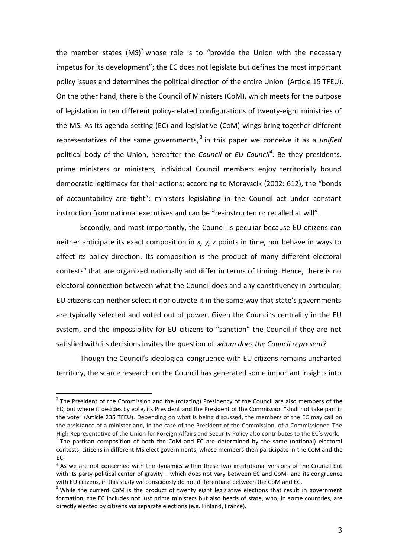the member states  $(MS)^2$  whose role is to "provide the Union with the necessary impetus for its development"; the EC does not legislate but defines the most important policy issues and determines the political direction of the entire Union (Article 15 TFEU). On the other hand, there is the Council of Ministers (CoM), which meets for the purpose of legislation in ten different policy-related configurations of twenty-eight ministries of the MS. As its agenda-setting (EC) and legislative (CoM) wings bring together different representatives of the same governments, <sup>3</sup> in this paper we conceive it as a *unified* political body of the Union, hereafter the *Council* or *EU Council<sup>4</sup>*. Be they presidents, prime ministers or ministers, individual Council members enjoy territorially bound democratic legitimacy for their actions; according to Moravscik (2002: 612), the "bonds of accountability are tight": ministers legislating in the Council act under constant instruction from national executives and can be "re-instructed or recalled at will".

Secondly, and most importantly, the Council is peculiar because EU citizens can neither anticipate its exact composition in *x, y, z* points in time, nor behave in ways to affect its policy direction. Its composition is the product of many different electoral contests<sup>5</sup> that are organized nationally and differ in terms of timing. Hence, there is no electoral connection between what the Council does and any constituency in particular; EU citizens can neither select it nor outvote it in the same way that state's governments are typically selected and voted out of power. Given the Council's centrality in the EU system, and the impossibility for EU citizens to "sanction" the Council if they are not satisfied with its decisions invites the question of *whom does the Council represent*?

Though the Council's ideological congruence with EU citizens remains uncharted territory, the scarce research on the Council has generated some important insights into

 $2$  The President of the Commission and the (rotating) Presidency of the Council are also members of the EC, but where it decides by vote, its President and the President of the Commission "shall not take part in the vote" (Article 235 TFEU). Depending on what is being discussed, the members of the EC may call on the assistance of a minister and, in the case of the President of the Commission, of a Commissioner. The High Representative of the Union for Foreign Affairs and Security Policy also contributes to the EC's work.

 $3$  The partisan composition of both the CoM and EC are determined by the same (national) electoral contests; citizens in different MS elect governments, whose members then participate in the CoM and the EC.

<sup>4</sup> As we are not concerned with the dynamics within these two institutional versions of the Council but with its party-political center of gravity – which does not vary between EC and CoM- and its congruence with EU citizens, in this study we consciously do not differentiate between the CoM and EC.

 $5$  While the current CoM is the product of twenty eight legislative elections that result in government formation, the EC includes not just prime ministers but also heads of state, who, in some countries, are directly elected by citizens via separate elections (e.g. Finland, France).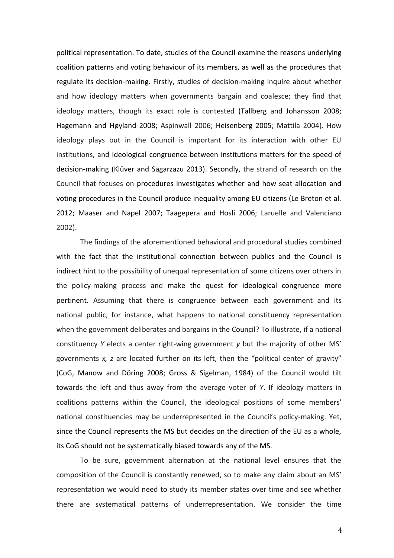political representation. To date, studies of the Council examine the reasons underlying coalition patterns and voting behaviour of its members, as well as the procedures that regulate its decision-making. Firstly, studies of decision-making inquire about whether and how ideology matters when governments bargain and coalesce; they find that ideology matters, though its exact role is contested (Tallberg and Johansson 2008; Hagemann and Høyland 2008; Aspinwall 2006; Heisenberg 2005; Mattila 2004). How ideology plays out in the Council is important for its interaction with other EU institutions, and ideological congruence between institutions matters for the speed of decision-making (Klüver and Sagarzazu 2013). Secondly, the strand of research on the Council that focuses on procedures investigates whether and how seat allocation and voting procedures in the Council produce inequality among EU citizens (Le Breton et al. 2012; Maaser and Napel 2007; Taagepera and Hosli 2006; Laruelle and Valenciano 2002).

The findings of the aforementioned behavioral and procedural studies combined with the fact that the institutional connection between publics and the Council is indirect hint to the possibility of unequal representation of some citizens over others in the policy-making process and make the quest for ideological congruence more pertinent. Assuming that there is congruence between each government and its national public, for instance, what happens to national constituency representation when the government deliberates and bargains in the Council? To illustrate, if a national constituency *Y* elects a center right-wing government *y* but the majority of other MS' governments *x, z* are located further on its left, then the "political center of gravity" (CoG, Manow and Döring 2008; Gross & Sigelman, 1984) of the Council would tilt towards the left and thus away from the average voter of *Y*. If ideology matters in coalitions patterns within the Council, the ideological positions of some members' national constituencies may be underrepresented in the Council's policy-making. Yet, since the Council represents the MS but decides on the direction of the EU as a whole, its CoG should not be systematically biased towards any of the MS.

To be sure, government alternation at the national level ensures that the composition of the Council is constantly renewed, so to make any claim about an MS' representation we would need to study its member states over time and see whether there are systematical patterns of underrepresentation. We consider the time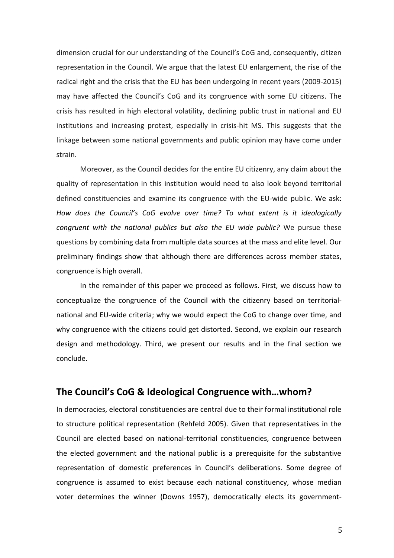dimension crucial for our understanding of the Council's CoG and, consequently, citizen representation in the Council. We argue that the latest EU enlargement, the rise of the radical right and the crisis that the EU has been undergoing in recent years (2009-2015) may have affected the Council's CoG and its congruence with some EU citizens. The crisis has resulted in high electoral volatility, declining public trust in national and EU institutions and increasing protest, especially in crisis-hit MS. This suggests that the linkage between some national governments and public opinion may have come under strain.

Moreover, as the Council decides for the entire EU citizenry, any claim about the quality of representation in this institution would need to also look beyond territorial defined constituencies and examine its congruence with the EU-wide public. We ask: *How does the Council's CoG evolve over time? To what extent is it ideologically congruent with the national publics but also the EU wide public?* We pursue these questions by combining data from multiple data sources at the mass and elite level. Our preliminary findings show that although there are differences across member states, congruence is high overall.

In the remainder of this paper we proceed as follows. First, we discuss how to conceptualize the congruence of the Council with the citizenry based on territorialnational and EU-wide criteria; why we would expect the CoG to change over time, and why congruence with the citizens could get distorted. Second, we explain our research design and methodology. Third, we present our results and in the final section we conclude.

# **The Council's CoG & Ideological Congruence with…whom?**

In democracies, electoral constituencies are central due to their formal institutional role to structure political representation (Rehfeld 2005). Given that representatives in the Council are elected based on national-territorial constituencies, congruence between the elected government and the national public is a prerequisite for the substantive representation of domestic preferences in Council's deliberations. Some degree of congruence is assumed to exist because each national constituency, whose median voter determines the winner (Downs 1957), democratically elects its government-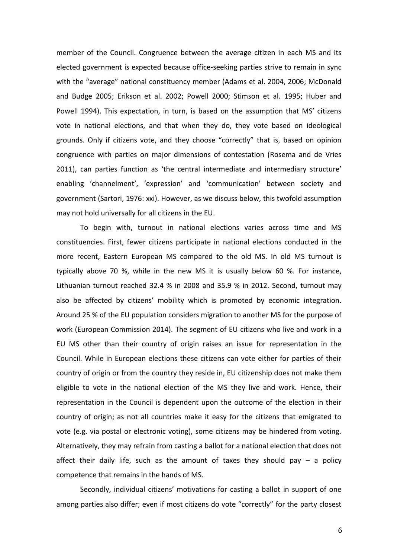member of the Council. Congruence between the average citizen in each MS and its elected government is expected because office-seeking parties strive to remain in sync with the "average" national constituency member (Adams et al. 2004, 2006; McDonald and Budge 2005; Erikson et al. 2002; Powell 2000; Stimson et al. 1995; Huber and Powell 1994). This expectation, in turn, is based on the assumption that MS' citizens vote in national elections, and that when they do, they vote based on ideological grounds. Only if citizens vote, and they choose "correctly" that is, based on opinion congruence with parties on major dimensions of contestation (Rosema and de Vries 2011), can parties function as 'the central intermediate and intermediary structure' enabling 'channelment', 'expression' and 'communication' between society and government (Sartori, 1976: xxi). However, as we discuss below, this twofold assumption may not hold universally for all citizens in the EU.

To begin with, turnout in national elections varies across time and MS constituencies. First, fewer citizens participate in national elections conducted in the more recent, Eastern European MS compared to the old MS. In old MS turnout is typically above 70 %, while in the new MS it is usually below 60 %. For instance, Lithuanian turnout reached 32.4 % in 2008 and 35.9 % in 2012. Second, turnout may also be affected by citizens' mobility which is promoted by economic integration. Around 25 % of the EU population considers migration to another MS for the purpose of work (European Commission 2014). The segment of EU citizens who live and work in a EU MS other than their country of origin raises an issue for representation in the Council. While in European elections these citizens can vote either for parties of their country of origin or from the country they reside in, EU citizenship does not make them eligible to vote in the national election of the MS they live and work. Hence, their representation in the Council is dependent upon the outcome of the election in their country of origin; as not all countries make it easy for the citizens that emigrated to vote (e.g. via postal or electronic voting), some citizens may be hindered from voting. Alternatively, they may refrain from casting a ballot for a national election that does not affect their daily life, such as the amount of taxes they should pay  $-$  a policy competence that remains in the hands of MS.

Secondly, individual citizens' motivations for casting a ballot in support of one among parties also differ; even if most citizens do vote "correctly" for the party closest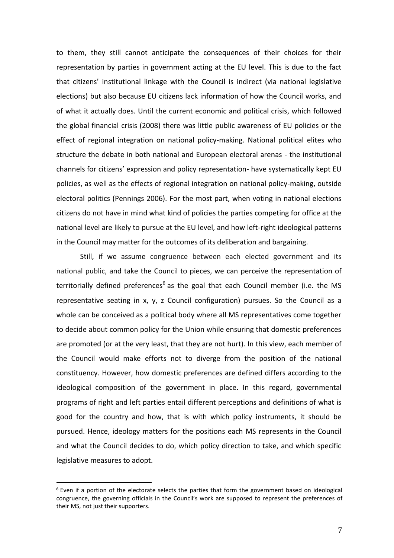to them, they still cannot anticipate the consequences of their choices for their representation by parties in government acting at the EU level. This is due to the fact that citizens' institutional linkage with the Council is indirect (via national legislative elections) but also because EU citizens lack information of how the Council works, and of what it actually does. Until the current economic and political crisis, which followed the global financial crisis (2008) there was little public awareness of EU policies or the effect of regional integration on national policy-making. National political elites who structure the debate in both national and European electoral arenas - the institutional channels for citizens' expression and policy representation- have systematically kept EU policies, as well as the effects of regional integration on national policy-making, outside electoral politics (Pennings 2006). For the most part, when voting in national elections citizens do not have in mind what kind of policies the parties competing for office at the national level are likely to pursue at the EU level, and how left-right ideological patterns in the Council may matter for the outcomes of its deliberation and bargaining.

Still, if we assume congruence between each elected government and its national public, and take the Council to pieces, we can perceive the representation of territorially defined preferences<sup>6</sup> as the goal that each Council member (i.e. the MS representative seating in x, y, z Council configuration) pursues. So the Council as a whole can be conceived as a political body where all MS representatives come together to decide about common policy for the Union while ensuring that domestic preferences are promoted (or at the very least, that they are not hurt). In this view, each member of the Council would make efforts not to diverge from the position of the national constituency. However, how domestic preferences are defined differs according to the ideological composition of the government in place. In this regard, governmental programs of right and left parties entail different perceptions and definitions of what is good for the country and how, that is with which policy instruments, it should be pursued. Hence, ideology matters for the positions each MS represents in the Council and what the Council decides to do, which policy direction to take, and which specific legislative measures to adopt.

 $6$  Even if a portion of the electorate selects the parties that form the government based on ideological congruence, the governing officials in the Council's work are supposed to represent the preferences of their MS, not just their supporters.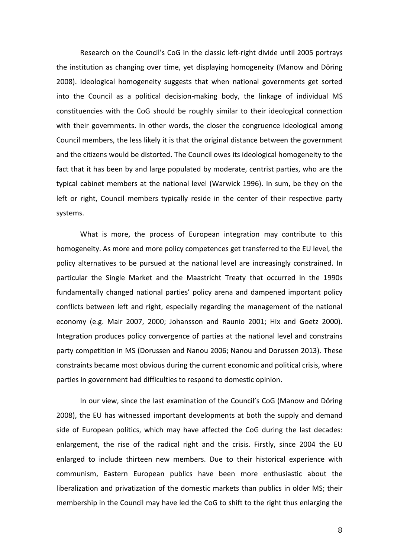Research on the Council's CoG in the classic left-right divide until 2005 portrays the institution as changing over time, yet displaying homogeneity (Manow and Döring 2008). Ideological homogeneity suggests that when national governments get sorted into the Council as a political decision-making body, the linkage of individual MS constituencies with the CoG should be roughly similar to their ideological connection with their governments. In other words, the closer the congruence ideological among Council members, the less likely it is that the original distance between the government and the citizens would be distorted. The Council owes its ideological homogeneity to the fact that it has been by and large populated by moderate, centrist parties, who are the typical cabinet members at the national level (Warwick 1996). In sum, be they on the left or right, Council members typically reside in the center of their respective party systems.

What is more, the process of European integration may contribute to this homogeneity. As more and more policy competences get transferred to the EU level, the policy alternatives to be pursued at the national level are increasingly constrained. In particular the Single Market and the Maastricht Treaty that occurred in the 1990s fundamentally changed national parties' policy arena and dampened important policy conflicts between left and right, especially regarding the management of the national economy (e.g. Mair 2007, 2000; Johansson and Raunio 2001; Hix and Goetz 2000). Integration produces policy convergence of parties at the national level and constrains party competition in MS (Dorussen and Nanou 2006; Nanou and Dorussen 2013). These constraints became most obvious during the current economic and political crisis, where parties in government had difficulties to respond to domestic opinion.

In our view, since the last examination of the Council's CoG (Manow and Döring 2008), the EU has witnessed important developments at both the supply and demand side of European politics, which may have affected the CoG during the last decades: enlargement, the rise of the radical right and the crisis. Firstly, since 2004 the EU enlarged to include thirteen new members. Due to their historical experience with communism, Eastern European publics have been more enthusiastic about the liberalization and privatization of the domestic markets than publics in older MS; their membership in the Council may have led the CoG to shift to the right thus enlarging the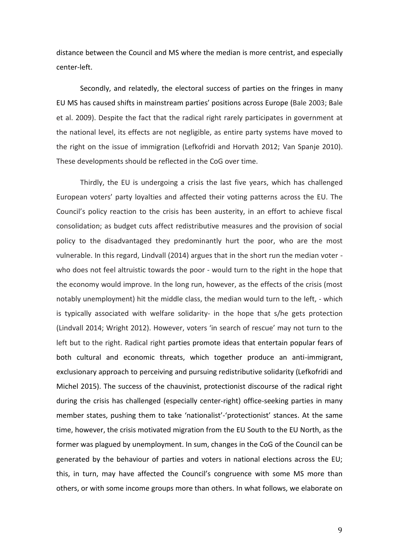distance between the Council and MS where the median is more centrist, and especially center-left.

Secondly, and relatedly, the electoral success of parties on the fringes in many EU MS has caused shifts in mainstream parties' positions across Europe (Bale 2003; Bale et al. 2009). Despite the fact that the radical right rarely participates in government at the national level, its effects are not negligible, as entire party systems have moved to the right on the issue of immigration (Lefkofridi and Horvath 2012; Van Spanje 2010). These developments should be reflected in the CoG over time.

Thirdly, the EU is undergoing a crisis the last five years, which has challenged European voters' party loyalties and affected their voting patterns across the EU. The Council's policy reaction to the crisis has been austerity, in an effort to achieve fiscal consolidation; as budget cuts affect redistributive measures and the provision of social policy to the disadvantaged they predominantly hurt the poor, who are the most vulnerable. In this regard, Lindvall (2014) argues that in the short run the median voter who does not feel altruistic towards the poor - would turn to the right in the hope that the economy would improve. In the long run, however, as the effects of the crisis (most notably unemployment) hit the middle class, the median would turn to the left, - which is typically associated with welfare solidarity- in the hope that s/he gets protection (Lindvall 2014; Wright 2012). However, voters 'in search of rescue' may not turn to the left but to the right. Radical right parties promote ideas that entertain popular fears of both cultural and economic threats, which together produce an anti-immigrant, exclusionary approach to perceiving and pursuing redistributive solidarity (Lefkofridi and Michel 2015). The success of the chauvinist, protectionist discourse of the radical right during the crisis has challenged (especially center-right) office-seeking parties in many member states, pushing them to take 'nationalist'-'protectionist' stances. At the same time, however, the crisis motivated migration from the EU South to the EU North, as the former was plagued by unemployment. In sum, changes in the CoG of the Council can be generated by the behaviour of parties and voters in national elections across the EU; this, in turn, may have affected the Council's congruence with some MS more than others, or with some income groups more than others. In what follows, we elaborate on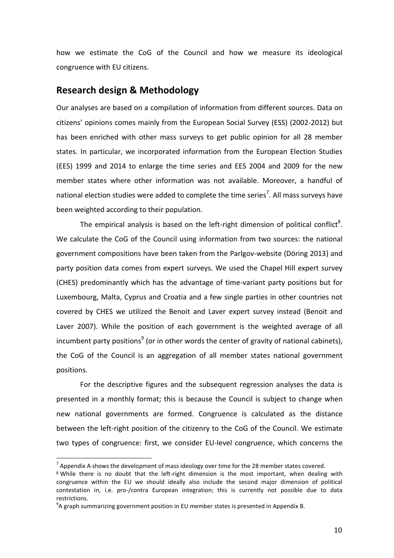how we estimate the CoG of the Council and how we measure its ideological congruence with EU citizens.

## **Research design & Methodology**

Our analyses are based on a compilation of information from different sources. Data on citizens' opinions comes mainly from the European Social Survey (ESS) (2002-2012) but has been enriched with other mass surveys to get public opinion for all 28 member states. In particular, we incorporated information from the European Election Studies (EES) 1999 and 2014 to enlarge the time series and EES 2004 and 2009 for the new member states where other information was not available. Moreover, a handful of national election studies were added to complete the time series<sup>7</sup>. All mass surveys have been weighted according to their population.

The empirical analysis is based on the left-right dimension of political conflict<sup>8</sup>. We calculate the CoG of the Council using information from two sources: the national government compositions have been taken from the Parlgov-website (Döring 2013) and party position data comes from expert surveys. We used the Chapel Hill expert survey (CHES) predominantly which has the advantage of time-variant party positions but for Luxembourg, Malta, Cyprus and Croatia and a few single parties in other countries not covered by CHES we utilized the Benoit and Laver expert survey instead (Benoit and Laver 2007). While the position of each government is the weighted average of all incumbent party positions<sup>9</sup> (or in other words the center of gravity of national cabinets), the CoG of the Council is an aggregation of all member states national government positions.

For the descriptive figures and the subsequent regression analyses the data is presented in a monthly format; this is because the Council is subject to change when new national governments are formed. Congruence is calculated as the distance between the left-right position of the citizenry to the CoG of the Council. We estimate two types of congruence: first, we consider EU-level congruence, which concerns the

<u>.</u>

 $^7$  Appendix A shows the development of mass ideology over time for the 28 member states covered.

<sup>&</sup>lt;sup>8</sup> While there is no doubt that the left-right dimension is the most important, when dealing with congruence within the EU we should ideally also include the second major dimension of political contestation in, i.e. pro-/contra European integration; this is currently not possible due to data restrictions.

 $^{9}$ A graph summarizing government position in EU member states is presented in Appendix B.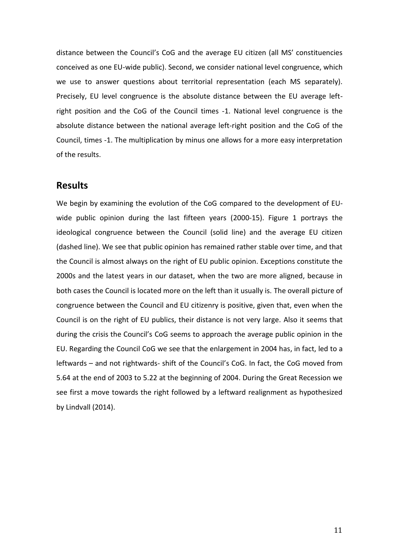distance between the Council's CoG and the average EU citizen (all MS' constituencies conceived as one EU-wide public). Second, we consider national level congruence, which we use to answer questions about territorial representation (each MS separately). Precisely, EU level congruence is the absolute distance between the EU average leftright position and the CoG of the Council times -1. National level congruence is the absolute distance between the national average left-right position and the CoG of the Council, times -1. The multiplication by minus one allows for a more easy interpretation of the results.

# **Results**

We begin by examining the evolution of the CoG compared to the development of EUwide public opinion during the last fifteen years (2000-15). Figure 1 portrays the ideological congruence between the Council (solid line) and the average EU citizen (dashed line). We see that public opinion has remained rather stable over time, and that the Council is almost always on the right of EU public opinion. Exceptions constitute the 2000s and the latest years in our dataset, when the two are more aligned, because in both cases the Council is located more on the left than it usually is. The overall picture of congruence between the Council and EU citizenry is positive, given that, even when the Council is on the right of EU publics, their distance is not very large. Also it seems that during the crisis the Council's CoG seems to approach the average public opinion in the EU. Regarding the Council CoG we see that the enlargement in 2004 has, in fact, led to a leftwards – and not rightwards- shift of the Council's CoG. In fact, the CoG moved from 5.64 at the end of 2003 to 5.22 at the beginning of 2004. During the Great Recession we see first a move towards the right followed by a leftward realignment as hypothesized by Lindvall (2014).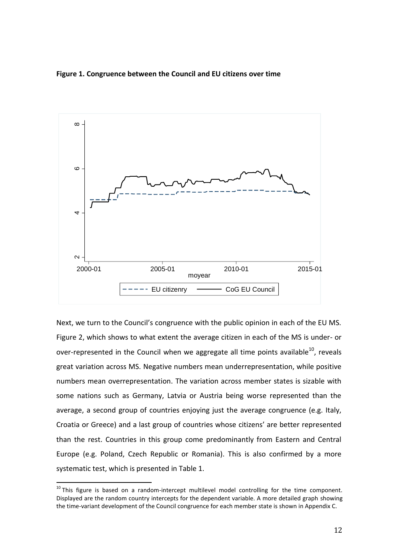**Figure 1. Congruence between the Council and EU citizens over time**



Next, we turn to the Council's congruence with the public opinion in each of the EU MS. Figure 2, which shows to what extent the average citizen in each of the MS is under- or over-represented in the Council when we aggregate all time points available $^{10}$ , reveals great variation across MS. Negative numbers mean underrepresentation, while positive numbers mean overrepresentation. The variation across member states is sizable with some nations such as Germany, Latvia or Austria being worse represented than the average, a second group of countries enjoying just the average congruence (e.g. Italy, Croatia or Greece) and a last group of countries whose citizens' are better represented than the rest. Countries in this group come predominantly from Eastern and Central Europe (e.g. Poland, Czech Republic or Romania). This is also confirmed by a more systematic test, which is presented in Table 1.

 $10$  This figure is based on a random-intercept multilevel model controlling for the time component. Displayed are the random country intercepts for the dependent variable. A more detailed graph showing the time-variant development of the Council congruence for each member state is shown in Appendix C.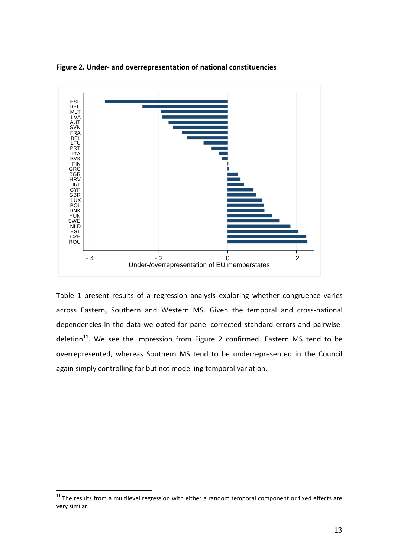**Figure 2. Under- and overrepresentation of national constituencies** 



Table 1 present results of a regression analysis exploring whether congruence varies across Eastern, Southern and Western MS. Given the temporal and cross-national dependencies in the data we opted for panel-corrected standard errors and pairwisedeletion<sup>11</sup>. We see the impression from Figure 2 confirmed. Eastern MS tend to be overrepresented, whereas Southern MS tend to be underrepresented in the Council again simply controlling for but not modelling temporal variation.

 $11$  The results from a multilevel regression with either a random temporal component or fixed effects are very similar.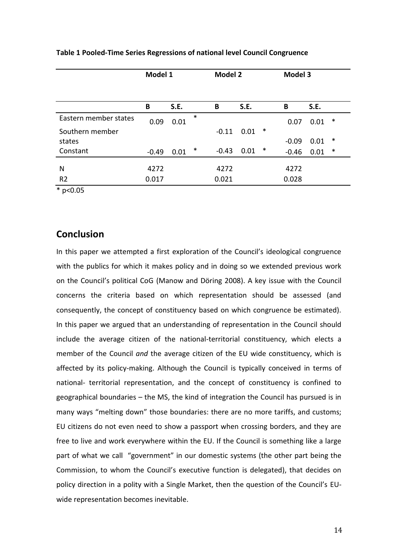|                       | Model 1 |      |        | <b>Model 2</b> |      |        | <b>Model 3</b> |      |        |
|-----------------------|---------|------|--------|----------------|------|--------|----------------|------|--------|
|                       | B       | S.E. |        | B              | S.E. |        | B              | S.E. |        |
| Eastern member states | 0.09    | 0.01 | $\ast$ |                |      |        | 0.07           | 0.01 | ∗      |
| Southern member       |         |      |        | $-0.11$        | 0.01 | $\ast$ |                |      |        |
| states                |         |      |        |                |      |        | $-0.09$        | 0.01 | ∗      |
| Constant              | $-0.49$ | 0.01 | ∗      | $-0.43$        | 0.01 | ∗      | $-0.46$        | 0.01 | $\ast$ |
|                       |         |      |        |                |      |        |                |      |        |
| N                     | 4272    |      |        | 4272           |      |        | 4272           |      |        |
| R <sub>2</sub>        | 0.017   |      |        | 0.021          |      |        | 0.028          |      |        |

#### **Table 1 Pooled-Time Series Regressions of national level Council Congruence**

\* p<0.05

# **Conclusion**

In this paper we attempted a first exploration of the Council's ideological congruence with the publics for which it makes policy and in doing so we extended previous work on the Council's political CoG (Manow and Döring 2008). A key issue with the Council concerns the criteria based on which representation should be assessed (and consequently, the concept of constituency based on which congruence be estimated). In this paper we argued that an understanding of representation in the Council should include the average citizen of the national-territorial constituency, which elects a member of the Council *and* the average citizen of the EU wide constituency, which is affected by its policy-making. Although the Council is typically conceived in terms of national- territorial representation, and the concept of constituency is confined to geographical boundaries – the MS, the kind of integration the Council has pursued is in many ways "melting down" those boundaries: there are no more tariffs, and customs; EU citizens do not even need to show a passport when crossing borders, and they are free to live and work everywhere within the EU. If the Council is something like a large part of what we call "government" in our domestic systems (the other part being the Commission, to whom the Council's executive function is delegated), that decides on policy direction in a polity with a Single Market, then the question of the Council's EUwide representation becomes inevitable.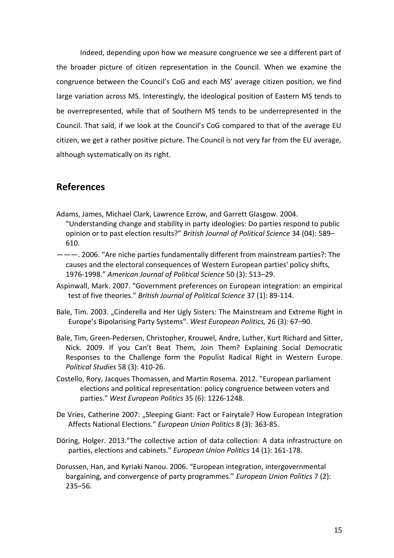Indeed, depending upon how we measure congruence we see a different part of the broader picture of citizen representation in the Council. When we examine the congruence between the Council's CoG and each MS' average citizen position, we find large variation across MS. Interestingly, the ideological position of Eastern MS tends to be overrepresented, while that of Southern MS tends to be underrepresented in the Council. That said, if we look at the Council's CoG compared to that of the average EU citizen, we get a rather positive picture. The Council is not very far from the EU average, although systematically on its right.

# **References**

- Adams, James, Michael Clark, Lawrence Ezrow, and Garrett Glasgow. 2004. "Understanding change and stability in party ideologies: Do parties respond to public opinion or to past election results?" *British Journal of Political Science* 34 (04): 589– 610.
- ———. 2006. "Are niche parties fundamentally different from mainstream parties?: The causes and the electoral consequences of Western European parties' policy shifts, 1976-1998." *American Journal of Political Science* 50 (3): 513–29.
- Aspinwall, Mark. 2007. "Government preferences on European integration: an empirical test of five theories." *British Journal of Political Science* 37 (1): 89-114.
- Bale, Tim. 2003. "Cinderella and Her Ugly Sisters: The Mainstream and Extreme Right in Europe's Bipolarising Party Systems". *West European Politics,* 26 (3): 67–90.
- Bale, Tim, Green-Pedersen, Christopher, Krouwel, Andre, Luther, Kurt Richard and Sitter, Nick. 2009. If you Can't Beat Them, Join Them? Explaining Social Democratic Responses to the Challenge form the Populist Radical Right in Western Europe. *Political Studies* 58 (3): 410-26.
- Costello, Rory, Jacques Thomassen, and Martin Rosema. 2012. "European parliament elections and political representation: policy congruence between voters and parties." *West European Politics* 35 (6): 1226-1248.
- De Vries, Catherine 2007: "Sleeping Giant: Fact or Fairytale? How European Integration Affects National Elections." *European Union Politics* 8 (3): 363-85.
- Döring, Holger. 2013."The collective action of data collection: A data infrastructure on parties, elections and cabinets." *European Union Politics* 14 (1): 161-178.
- Dorussen, Han, and Kyriaki Nanou. 2006. "European integration, intergovernmental bargaining, and convergence of party programmes." *European Union Politics* 7 (2): 235–56.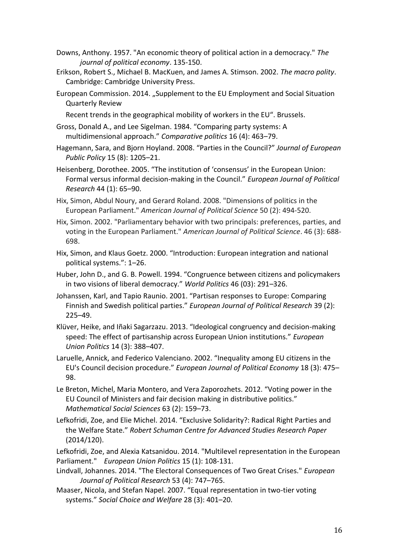- Downs, Anthony. 1957. "An economic theory of political action in a democracy." *The journal of political economy*. 135-150.
- Erikson, Robert S., Michael B. MacKuen, and James A. Stimson. 2002. *The macro polity*. Cambridge: Cambridge University Press.
- European Commission. 2014. "Supplement to the EU Employment and Social Situation Quarterly Review

Recent trends in the geographical mobility of workers in the EU". Brussels.

- Gross, Donald A., and Lee Sigelman. 1984. "Comparing party systems: A multidimensional approach." *Comparative politics* 16 (4): 463–79.
- Hagemann, Sara, and Bjorn Hoyland. 2008. "Parties in the Council?" *Journal of European Public Policy* 15 (8): 1205–21.
- Heisenberg, Dorothee. 2005. "The institution of 'consensus' in the European Union: Formal versus informal decision‐making in the Council." *European Journal of Political Research* 44 (1): 65–90.
- Hix, Simon, Abdul Noury, and Gerard Roland. 2008. "Dimensions of politics in the European Parliament." *American Journal of Political Science* 50 (2): 494-520.
- Hix, Simon. 2002. "Parliamentary behavior with two principals: preferences, parties, and voting in the European Parliament." *American Journal of Political Science*. 46 (3): 688- 698.
- Hix, Simon, and Klaus Goetz. 2000. "Introduction: European integration and national political systems.": 1–26.
- Huber, John D., and G. B. Powell. 1994. "Congruence between citizens and policymakers in two visions of liberal democracy." *World Politics* 46 (03): 291–326.
- Johanssen, Karl, and Tapio Raunio. 2001. "Partisan responses to Europe: Comparing Finnish and Swedish political parties." *European Journal of Political Research* 39 (2): 225–49.
- Klüver, Heike, and Iñaki Sagarzazu. 2013. "Ideological congruency and decision-making speed: The effect of partisanship across European Union institutions." *European Union Politics* 14 (3): 388–407.
- Laruelle, Annick, and Federico Valenciano. 2002. "Inequality among EU citizens in the EU's Council decision procedure." *European Journal of Political Economy* 18 (3): 475– 98.
- Le Breton, Michel, Maria Montero, and Vera Zaporozhets. 2012. "Voting power in the EU Council of Ministers and fair decision making in distributive politics." *Mathematical Social Sciences* 63 (2): 159–73.
- Lefkofridi, Zoe, and Elie Michel. 2014. "Exclusive Solidarity?: Radical Right Parties and the Welfare State." *Robert Schuman Centre for Advanced Studies Research Paper* (2014/120).
- Lefkofridi, Zoe, and Alexia Katsanidou. 2014. "Multilevel representation in the European Parliament." *European Union Politics* 15 (1): 108-131.
- Lindvall, Johannes. 2014. "The Electoral Consequences of Two Great Crises." *European Journal of Political Research* 53 (4): 747–765.
- Maaser, Nicola, and Stefan Napel. 2007. "Equal representation in two-tier voting systems." *Social Choice and Welfare* 28 (3): 401–20.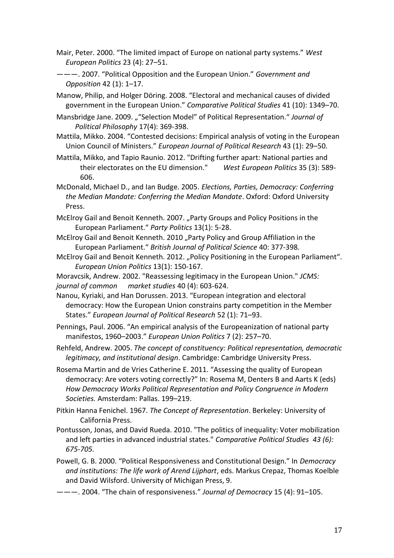- Mair, Peter. 2000. "The limited impact of Europe on national party systems." *West European Politics* 23 (4): 27–51.
- ———. 2007. "Political Opposition and the European Union." *Government and Opposition* 42 (1): 1–17.

Manow, Philip, and Holger Döring. 2008. "Electoral and mechanical causes of divided government in the European Union." *Comparative Political Studies* 41 (10): 1349–70.

Mansbridge Jane. 2009. ""Selection Model" of Political Representation." *Journal of Political Philosophy* 17(4): 369-398.

Mattila, Mikko. 2004. "Contested decisions: Empirical analysis of voting in the European Union Council of Ministers." *European Journal of Political Research* 43 (1): 29–50.

Mattila, Mikko, and Tapio Raunio. 2012. "Drifting further apart: National parties and their electorates on the EU dimension." *West European Politics* 35 (3): 589- 606.

McDonald, Michael D., and Ian Budge. 2005. *Elections, Parties, Democracy: Conferring the Median Mandate: Conferring the Median Mandate*. Oxford: Oxford University Press.

McElroy Gail and Benoit Kenneth. 2007. "Party Groups and Policy Positions in the European Parliament." *Party Politics* 13(1): 5-28.

McElroy Gail and Benoit Kenneth. 2010 "Party Policy and Group Affiliation in the European Parliament." *British Journal of Political Science* 40: 377-398.

McElroy Gail and Benoit Kenneth. 2012. "Policy Positioning in the European Parliament". *European Union Politics* 13(1): 150-167.

Moravcsik, Andrew. 2002. "Reassessing legitimacy in the European Union." *JCMS: journal of common market studies* 40 (4): 603-624.

Nanou, Kyriaki, and Han Dorussen. 2013. "European integration and electoral democracy: How the European Union constrains party competition in the Member States." *European Journal of Political Research* 52 (1): 71–93.

Pennings, Paul. 2006. "An empirical analysis of the Europeanization of national party manifestos, 1960–2003." *European Union Politics* 7 (2): 257–70.

Rehfeld, Andrew. 2005. *The concept of constituency: Political representation, democratic legitimacy, and institutional design*. Cambridge: Cambridge University Press.

Rosema Martin and de Vries Catherine E. 2011. "Assessing the quality of European democracy: Are voters voting correctly?" In: Rosema M, Denters B and Aarts K (eds) *How Democracy Works Political Representation and Policy Congruence in Modern Societies.* Amsterdam: Pallas. 199–219.

Pitkin Hanna Fenichel. 1967. *The Concept of Representation*. Berkeley: University of California Press.

Pontusson, Jonas, and David Rueda. 2010. "The politics of inequality: Voter mobilization and left parties in advanced industrial states." *Comparative Political Studies 43 (6): 675-705.* 

Powell, G. B. 2000. "Political Responsiveness and Constitutional Design." In *Democracy and institutions: The life work of Arend Lijphart*, eds. Markus Crepaz, Thomas Koelble and David Wilsford. University of Michigan Press, 9.

———. 2004. "The chain of responsiveness." *Journal of Democracy* 15 (4): 91–105.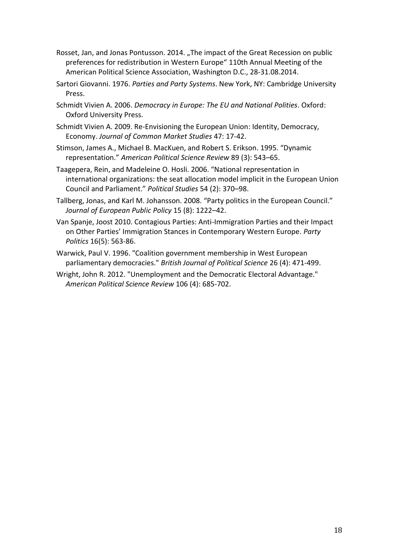- Rosset, Jan, and Jonas Pontusson. 2014. "The impact of the Great Recession on public preferences for redistribution in Western Europe" 110th Annual Meeting of the American Political Science Association, Washington D.C., 28-31.08.2014.
- Sartori Giovanni. 1976. *Parties and Party Systems*. New York, NY: Cambridge University Press.
- Schmidt Vivien A. 2006. *Democracy in Europe: The EU and National Polities*. Oxford: Oxford University Press.
- Schmidt Vivien A. 2009. Re-Envisioning the European Union: Identity, Democracy, Economy. *Journal of Common Market Studies* 47: 17-42.
- Stimson, James A., Michael B. MacKuen, and Robert S. Erikson. 1995. "Dynamic representation." *American Political Science Review* 89 (3): 543–65.
- Taagepera, Rein, and Madeleine O. Hosli. 2006. "National representation in international organizations: the seat allocation model implicit in the European Union Council and Parliament." *Political Studies* 54 (2): 370–98.
- Tallberg, Jonas, and Karl M. Johansson. 2008. "Party politics in the European Council." *Journal of European Public Policy* 15 (8): 1222–42.
- Van Spanje, Joost 2010. Contagious Parties: Anti-Immigration Parties and their Impact on Other Parties' Immigration Stances in Contemporary Western Europe. *Party Politics* 16(5): 563-86.
- Warwick, Paul V. 1996. "Coalition government membership in West European parliamentary democracies." *British Journal of Political Science* 26 (4): 471-499.
- Wright, John R. 2012. "Unemployment and the Democratic Electoral Advantage." *American Political Science Review* 106 (4): 685-702.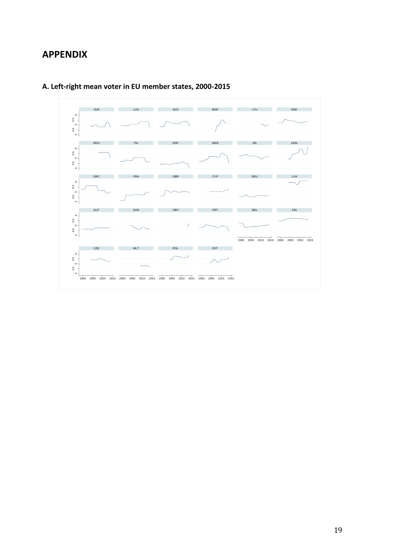# **APPENDIX**



## **A. Left-right mean voter in EU member states, 2000-2015**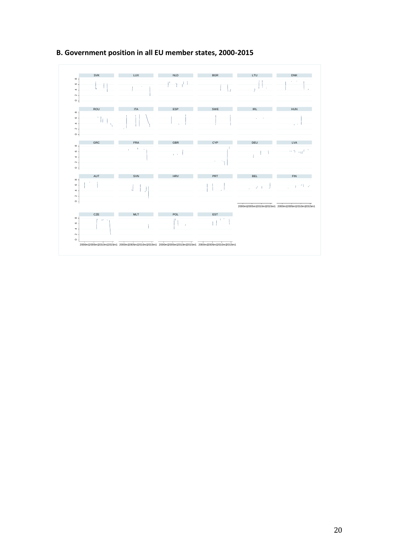

#### **B. Government position in all EU member states, 2000-2015**